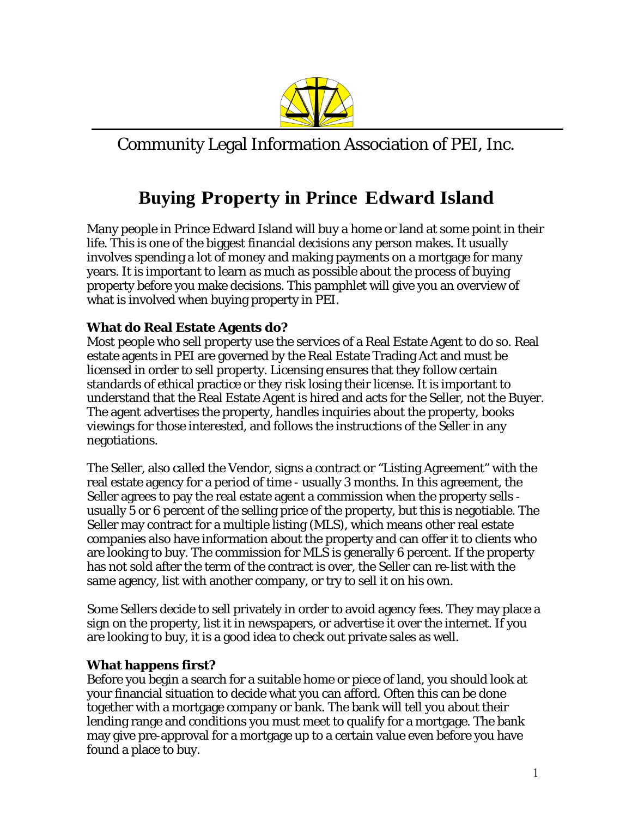

Community Legal Information Association of PEI, Inc.

# **Buying Property in Prince Edward Island**

Many people in Prince Edward Island will buy a home or land at some point in their life. This is one of the biggest financial decisions any person makes. It usually involves spending a lot of money and making payments on a mortgage for many years. It is important to learn as much as possible about the process of buying property before you make decisions. This pamphlet will give you an overview of what is involved when buying property in PEI.

## **What do Real Estate Agents do?**

Most people who sell property use the services of a Real Estate Agent to do so. Real estate agents in PEI are governed by the Real Estate Trading Act and must be licensed in order to sell property. Licensing ensures that they follow certain standards of ethical practice or they risk losing their license. It is important to understand that the Real Estate Agent is hired and acts for the Seller, not the Buyer. The agent advertises the property, handles inquiries about the property, books viewings for those interested, and follows the instructions of the Seller in any negotiations.

The Seller, also called the Vendor, signs a contract or "Listing Agreement" with the real estate agency for a period of time - usually 3 months. In this agreement, the Seller agrees to pay the real estate agent a commission when the property sells usually 5 or 6 percent of the selling price of the property, but this is negotiable. The Seller may contract for a multiple listing (MLS), which means other real estate companies also have information about the property and can offer it to clients who are looking to buy. The commission for MLS is generally 6 percent. If the property has not sold after the term of the contract is over, the Seller can re-list with the same agency, list with another company, or try to sell it on his own.

Some Sellers decide to sell privately in order to avoid agency fees. They may place a sign on the property, list it in newspapers, or advertise it over the internet. If you are looking to buy, it is a good idea to check out private sales as well.

## **What happens first?**

Before you begin a search for a suitable home or piece of land, you should look at your financial situation to decide what you can afford. Often this can be done together with a mortgage company or bank. The bank will tell you about their lending range and conditions you must meet to qualify for a mortgage. The bank may give pre-approval for a mortgage up to a certain value even before you have found a place to buy.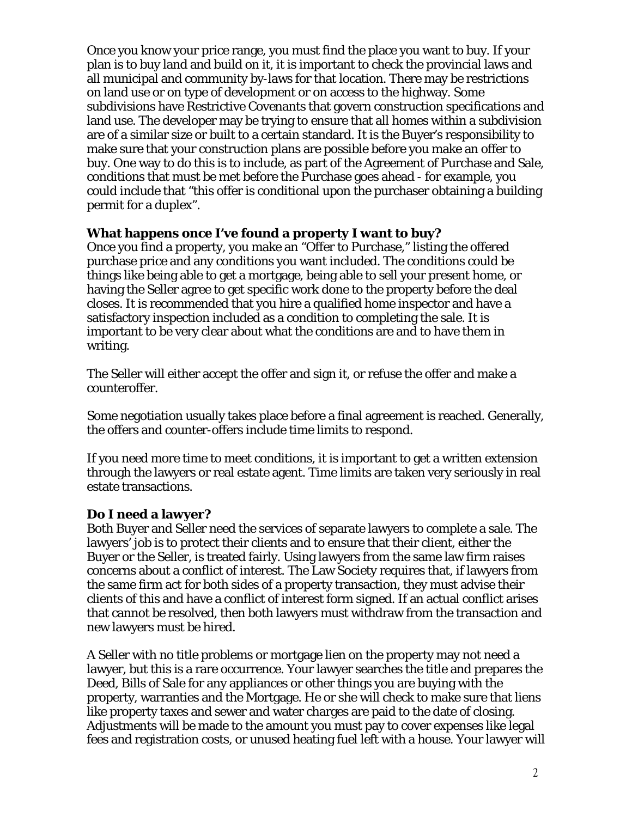Once you know your price range, you must find the place you want to buy. If your plan is to buy land and build on it, it is important to check the provincial laws and all municipal and community by-laws for that location. There may be restrictions on land use or on type of development or on access to the highway. Some subdivisions have Restrictive Covenants that govern construction specifications and land use. The developer may be trying to ensure that all homes within a subdivision are of a similar size or built to a certain standard. It is the Buyer's responsibility to make sure that your construction plans are possible before you make an offer to buy. One way to do this is to include, as part of the Agreement of Purchase and Sale, conditions that must be met before the Purchase goes ahead - for example, you could include that "this offer is conditional upon the purchaser obtaining a building permit for a duplex".

#### **What happens once I've found a property I want to buy?**

Once you find a property, you make an "Offer to Purchase," listing the offered purchase price and any conditions you want included. The conditions could be things like being able to get a mortgage, being able to sell your present home, or having the Seller agree to get specific work done to the property before the deal closes. It is recommended that you hire a qualified home inspector and have a satisfactory inspection included as a condition to completing the sale. It is important to be very clear about what the conditions are and to have them in writing.

The Seller will either accept the offer and sign it, or refuse the offer and make a counteroffer.

Some negotiation usually takes place before a final agreement is reached. Generally, the offers and counter-offers include time limits to respond.

If you need more time to meet conditions, it is important to get a written extension through the lawyers or real estate agent. Time limits are taken very seriously in real estate transactions.

#### **Do I need a lawyer?**

Both Buyer and Seller need the services of separate lawyers to complete a sale. The lawyers' job is to protect their clients and to ensure that their client, either the Buyer or the Seller, is treated fairly. Using lawyers from the same law firm raises concerns about a conflict of interest. The Law Society requires that, if lawyers from the same firm act for both sides of a property transaction, they must advise their clients of this and have a conflict of interest form signed. If an actual conflict arises that cannot be resolved, then both lawyers must withdraw from the transaction and new lawyers must be hired.

A Seller with no title problems or mortgage lien on the property may not need a lawyer, but this is a rare occurrence. Your lawyer searches the title and prepares the Deed, Bills of Sale for any appliances or other things you are buying with the property, warranties and the Mortgage. He or she will check to make sure that liens like property taxes and sewer and water charges are paid to the date of closing. Adjustments will be made to the amount you must pay to cover expenses like legal fees and registration costs, or unused heating fuel left with a house. Your lawyer will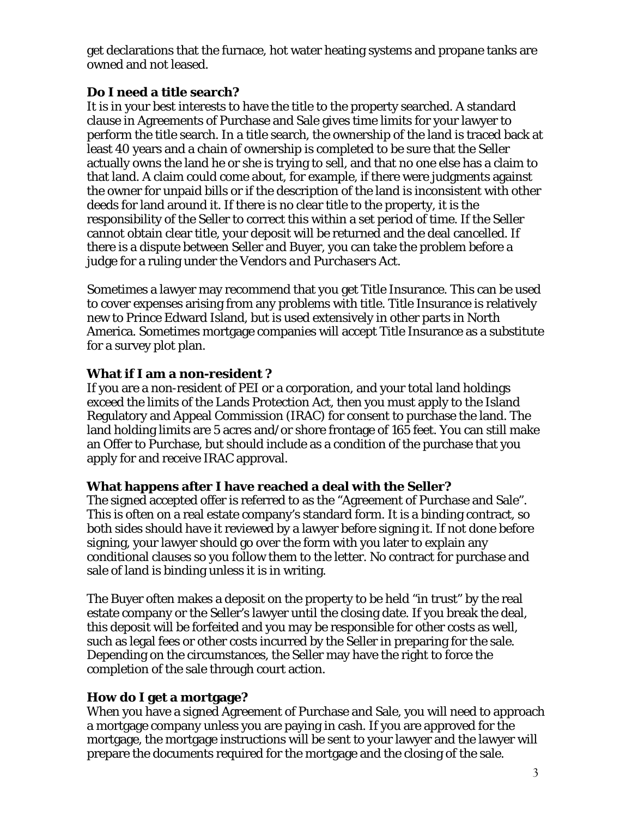get declarations that the furnace, hot water heating systems and propane tanks are owned and not leased.

## **Do I need a title search?**

It is in your best interests to have the title to the property searched. A standard clause in Agreements of Purchase and Sale gives time limits for your lawyer to perform the title search. In a title search, the ownership of the land is traced back at least 40 years and a chain of ownership is completed to be sure that the Seller actually owns the land he or she is trying to sell, and that no one else has a claim to that land. A claim could come about, for example, if there were judgments against the owner for unpaid bills or if the description of the land is inconsistent with other deeds for land around it. If there is no clear title to the property, it is the responsibility of the Seller to correct this within a set period of time. If the Seller cannot obtain clear title, your deposit will be returned and the deal cancelled. If there is a dispute between Seller and Buyer, you can take the problem before a judge for a ruling under the *Vendors and Purchasers Act*.

Sometimes a lawyer may recommend that you get Title Insurance. This can be used to cover expenses arising from any problems with title. Title Insurance is relatively new to Prince Edward Island, but is used extensively in other parts in North America. Sometimes mortgage companies will accept Title Insurance as a substitute for a survey plot plan.

## **What if I am a non-resident ?**

If you are a non-resident of PEI or a corporation, and your total land holdings exceed the limits of the Lands Protection Act, then you must apply to the Island Regulatory and Appeal Commission (IRAC) for consent to purchase the land. The land holding limits are 5 acres and/or shore frontage of 165 feet. You can still make an Offer to Purchase, but should include as a condition of the purchase that you apply for and receive IRAC approval.

#### **What happens after I have reached a deal with the Seller?**

The signed accepted offer is referred to as the "Agreement of Purchase and Sale". This is often on a real estate company's standard form. It is a binding contract, so both sides should have it reviewed by a lawyer before signing it. If not done before signing, your lawyer should go over the form with you later to explain any conditional clauses so you follow them to the letter. No contract for purchase and sale of land is binding unless it is in writing.

The Buyer often makes a deposit on the property to be held "in trust" by the real estate company or the Seller's lawyer until the closing date. If you break the deal, this deposit will be forfeited and you may be responsible for other costs as well, such as legal fees or other costs incurred by the Seller in preparing for the sale. Depending on the circumstances, the Seller may have the right to force the completion of the sale through court action.

## **How do I get a mortgage?**

When you have a signed Agreement of Purchase and Sale, you will need to approach a mortgage company unless you are paying in cash. If you are approved for the mortgage, the mortgage instructions will be sent to your lawyer and the lawyer will prepare the documents required for the mortgage and the closing of the sale.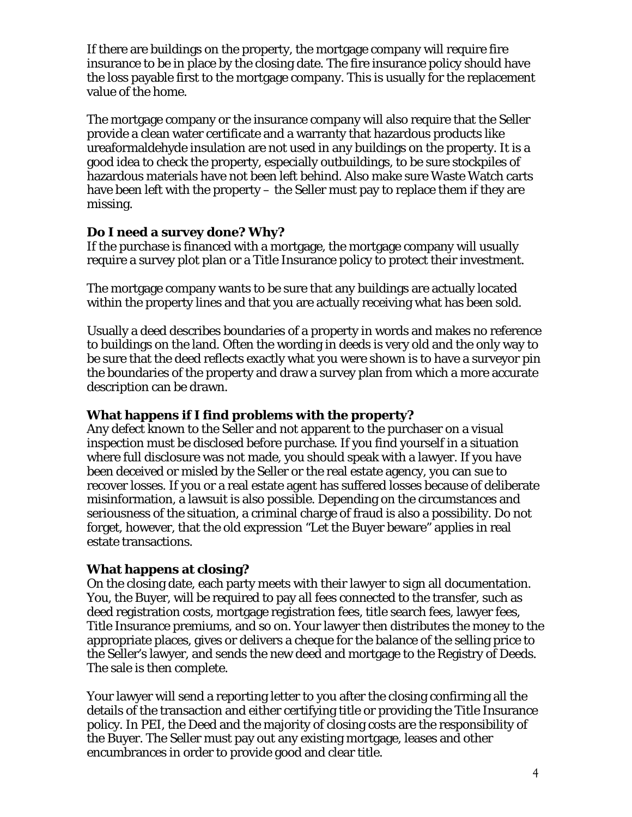If there are buildings on the property, the mortgage company will require fire insurance to be in place by the closing date. The fire insurance policy should have the loss payable first to the mortgage company. This is usually for the replacement value of the home.

The mortgage company or the insurance company will also require that the Seller provide a clean water certificate and a warranty that hazardous products like ureaformaldehyde insulation are not used in any buildings on the property. It is a good idea to check the property, especially outbuildings, to be sure stockpiles of hazardous materials have not been left behind. Also make sure Waste Watch carts have been left with the property – the Seller must pay to replace them if they are missing.

## **Do I need a survey done? Why?**

If the purchase is financed with a mortgage, the mortgage company will usually require a survey plot plan or a Title Insurance policy to protect their investment.

The mortgage company wants to be sure that any buildings are actually located within the property lines and that you are actually receiving what has been sold.

Usually a deed describes boundaries of a property in words and makes no reference to buildings on the land. Often the wording in deeds is very old and the only way to be sure that the deed reflects exactly what you were shown is to have a surveyor pin the boundaries of the property and draw a survey plan from which a more accurate description can be drawn.

## **What happens if I find problems with the property?**

Any defect known to the Seller and not apparent to the purchaser on a visual inspection must be disclosed before purchase. If you find yourself in a situation where full disclosure was not made, you should speak with a lawyer. If you have been deceived or misled by the Seller or the real estate agency, you can sue to recover losses. If you or a real estate agent has suffered losses because of deliberate misinformation, a lawsuit is also possible. Depending on the circumstances and seriousness of the situation, a criminal charge of fraud is also a possibility. Do not forget, however, that the old expression "Let the Buyer beware" applies in real estate transactions.

## **What happens at closing?**

On the closing date, each party meets with their lawyer to sign all documentation. You, the Buyer, will be required to pay all fees connected to the transfer, such as deed registration costs, mortgage registration fees, title search fees, lawyer fees, Title Insurance premiums, and so on. Your lawyer then distributes the money to the appropriate places, gives or delivers a cheque for the balance of the selling price to the Seller's lawyer, and sends the new deed and mortgage to the Registry of Deeds. The sale is then complete.

Your lawyer will send a reporting letter to you after the closing confirming all the details of the transaction and either certifying title or providing the Title Insurance policy. In PEI, the Deed and the majority of closing costs are the responsibility of the Buyer. The Seller must pay out any existing mortgage, leases and other encumbrances in order to provide good and clear title.